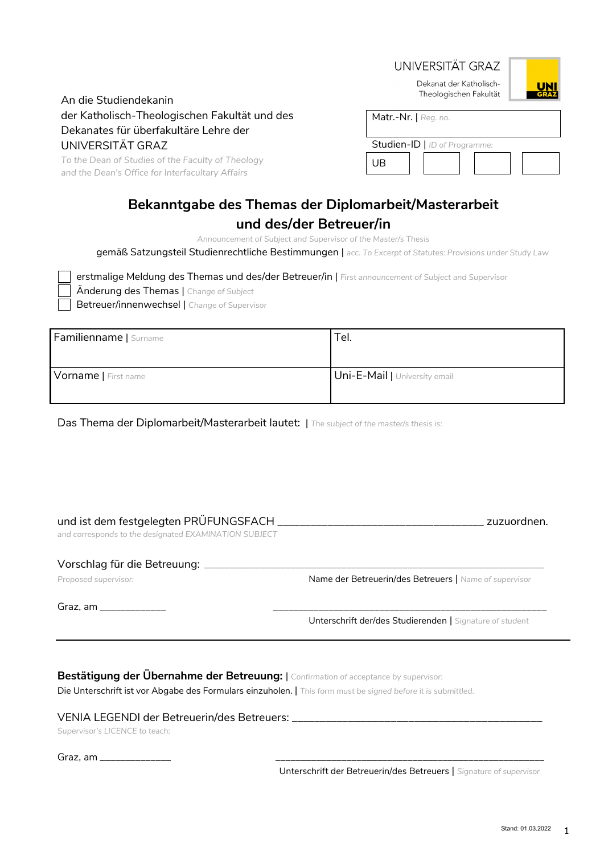|                                                                                                       | UNIVERSITAT GRAZ                                                |
|-------------------------------------------------------------------------------------------------------|-----------------------------------------------------------------|
| An die Studiendekanin                                                                                 | Dekanat der Katholisch-<br><b>UNI</b><br>Theologischen Fakultät |
| der Katholisch-Theologischen Fakultät und des                                                         | Matr.-Nr.   Reg. no.                                            |
| Dekanates für überfakultäre Lehre der                                                                 |                                                                 |
| UNIVERSITÄT GRAZ                                                                                      | Studien-ID   ID of Programme:                                   |
| To the Dean of Studies of the Faculty of Theology<br>and the Dean's Office for Interfacultary Affairs | UB                                                              |

# **Bekanntgabe des Themas der Diplomarbeit/Masterarbeit**

# **und des/der Betreuer/in**

*Announcement of Subject and Supervisor of the Master/s Thesis*

gemäß Satzungsteil Studienrechtliche Bestimmungen | *acc. To Excerpt of Statutes: Provisions under Study Law*

 erstmalige Meldung des Themas und des/der Betreuer/in | *First announcement of Subject and Supervisor* Änderung des Themas | *Change of Subject* Betreuer/innenwechsel | *Change of Supervisor*

| Familienname   Surname | Tel.                          |
|------------------------|-------------------------------|
|                        |                               |
| Vorname   First name   | Uni-E-Mail   University email |
|                        |                               |

Das Thema der Diplomarbeit/Masterarbeit lautet: | *The subject of the master/s thesis is:*

### und ist dem festgelegten PRÜFUNGSFACH \_\_\_\_\_\_\_\_\_\_\_\_\_\_\_\_\_\_\_\_\_\_\_\_\_\_\_\_\_\_\_\_\_\_\_\_\_ zuzuordnen.

*and corresponds to the designated EXAMINATION SUBJECT*

#### Vorschlag für die Betreuung: \_\_\_\_\_\_\_\_\_\_\_\_\_\_\_\_\_\_\_\_\_\_\_\_\_\_\_\_\_\_\_\_\_\_\_\_\_\_\_\_\_\_\_\_\_\_\_\_\_\_\_\_\_\_\_\_\_\_\_\_\_\_\_\_\_\_\_

Proposed supervisor: Name der Betreuerin/des Betreuers | Name of supervisor

Graz, am \_\_\_\_\_\_\_\_\_\_\_\_\_ \_\_\_\_\_\_\_\_\_\_\_\_\_\_\_\_\_\_\_\_\_\_\_\_\_\_\_\_\_\_\_\_\_\_\_\_\_\_\_\_\_\_\_\_\_\_\_\_\_\_\_\_\_\_

Unterschrift der/des Studierenden | *Signature of student*

## **Bestätigung der Übernahme der Betreuung:** | *Confirmation of acceptance by supervisor:*

Die Unterschrift ist vor Abgabe des Formulars einzuholen. | *This form must be signed before it is submittled.*

#### VENIA LEGENDI der Betreuerin/des Betreuers: \_\_\_\_\_\_\_\_\_\_\_\_\_\_\_\_\_\_\_\_\_\_\_\_\_\_\_\_\_\_\_\_\_\_\_\_\_\_\_\_\_\_

*Supervisor's LICENCE to teach:* 

| ∽<br>Graz, am<br>_______________________ |  |
|------------------------------------------|--|
|                                          |  |

Unterschrift der Betreuerin/des Betreuers | *Signature of supervisor*